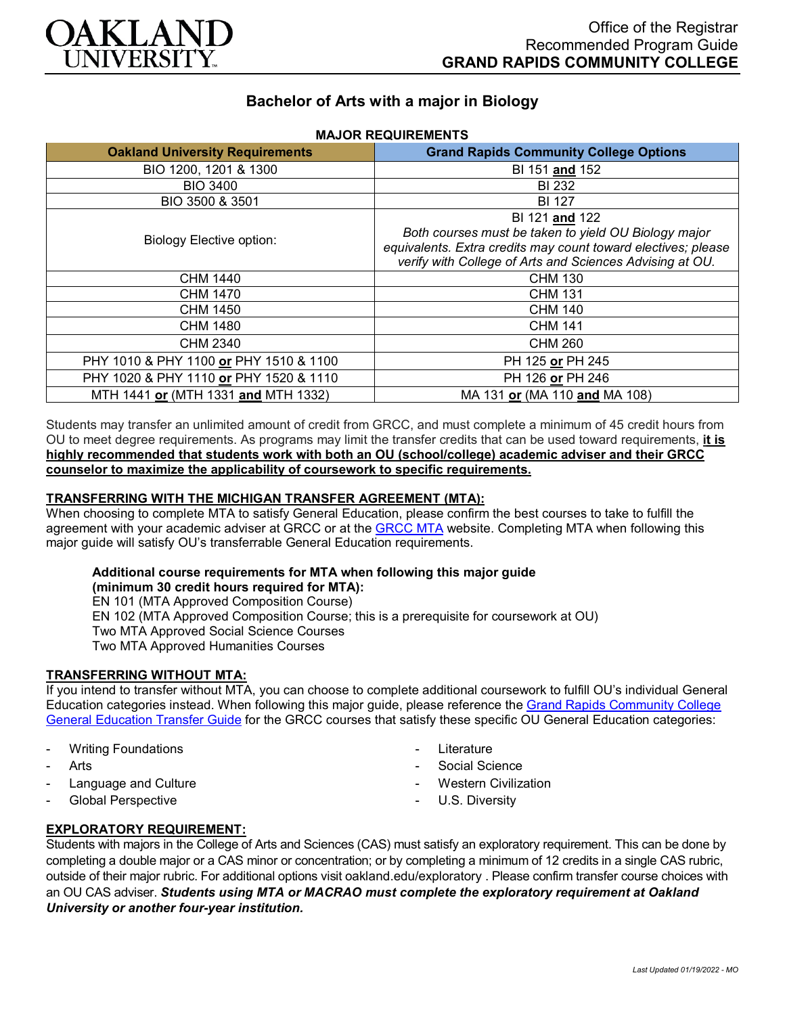

# **Bachelor of Arts with a major in Biology**

| <b>Oakland University Requirements</b> | <b>Grand Rapids Community College Options</b>                                                                                                                                                       |
|----------------------------------------|-----------------------------------------------------------------------------------------------------------------------------------------------------------------------------------------------------|
| BIO 1200, 1201 & 1300                  | BI 151 and 152                                                                                                                                                                                      |
| <b>BIO 3400</b>                        | <b>BI 232</b>                                                                                                                                                                                       |
| BIO 3500 & 3501                        | <b>BI 127</b>                                                                                                                                                                                       |
| <b>Biology Elective option:</b>        | BI 121 and 122<br>Both courses must be taken to yield OU Biology major<br>equivalents. Extra credits may count toward electives; please<br>verify with College of Arts and Sciences Advising at OU. |
| CHM 1440                               | <b>CHM 130</b>                                                                                                                                                                                      |
| <b>CHM 1470</b>                        | <b>CHM 131</b>                                                                                                                                                                                      |
| <b>CHM 1450</b>                        | <b>CHM 140</b>                                                                                                                                                                                      |
| <b>CHM 1480</b>                        | <b>CHM 141</b>                                                                                                                                                                                      |
| CHM 2340                               | <b>CHM 260</b>                                                                                                                                                                                      |
| PHY 1010 & PHY 1100 or PHY 1510 & 1100 | PH 125 or PH 245                                                                                                                                                                                    |
| PHY 1020 & PHY 1110 or PHY 1520 & 1110 | PH 126 or PH 246                                                                                                                                                                                    |
| MTH 1441 or (MTH 1331 and MTH 1332)    | MA 131 or (MA 110 and MA 108)                                                                                                                                                                       |

#### **MAJOR REQUIREMENTS**

Students may transfer an unlimited amount of credit from GRCC, and must complete a minimum of 45 credit hours from OU to meet degree requirements. As programs may limit the transfer credits that can be used toward requirements, **it is highly recommended that students work with both an OU (school/college) academic adviser and their GRCC counselor to maximize the applicability of coursework to specific requirements.**

#### **TRANSFERRING WITH THE MICHIGAN TRANSFER AGREEMENT (MTA):**

When choosing to complete MTA to satisfy General Education, please confirm the best courses to take to fulfill the agreement with your academic adviser at GRCC or at the [GRCC MTA](https://catalog.grcc.edu/content.php?catoid=45&navoid=3401&hl=Michigan+Transfer+Agreement&returnto=search) website. Completing MTA when following this major guide will satisfy OU's transferrable General Education requirements.

# **Additional course requirements for MTA when following this major guide**

**(minimum 30 credit hours required for MTA):**

EN 101 (MTA Approved Composition Course)

EN 102 (MTA Approved Composition Course; this is a prerequisite for coursework at OU)

Two MTA Approved Social Science Courses

Two MTA Approved Humanities Courses

### **TRANSFERRING WITHOUT MTA:**

If you intend to transfer without MTA, you can choose to complete additional coursework to fulfill OU's individual General Education categories instead. When following this major guide, please reference the Grand Rapids Community College [General Education Transfer Guide](https://www.oakland.edu/Assets/Oakland/program-guides/grand-rapids-community-college/university-general-education-requirements/Grand%20Rapids%20Gen%20Ed.pdf) for the GRCC courses that satisfy these specific OU General Education categories:

- **Writing Foundations**
- **Arts**
- Language and Culture
- Global Perspective
- **Literature**
- Social Science
- **Western Civilization**
- U.S. Diversity

## **EXPLORATORY REQUIREMENT:**

Students with majors in the College of Arts and Sciences (CAS) must satisfy an exploratory requirement. This can be done by completing a double major or a CAS minor or concentration; or by completing a minimum of 12 credits in a single CAS rubric, outside of their major rubric. For additional options visit [oakland.edu/exploratory](http://www.oakland.edu/exploratory) . Please confirm transfer course choices with an OU CAS adviser. *Students using MTA or MACRAO must complete the exploratory requirement at Oakland University or another four-year institution.*